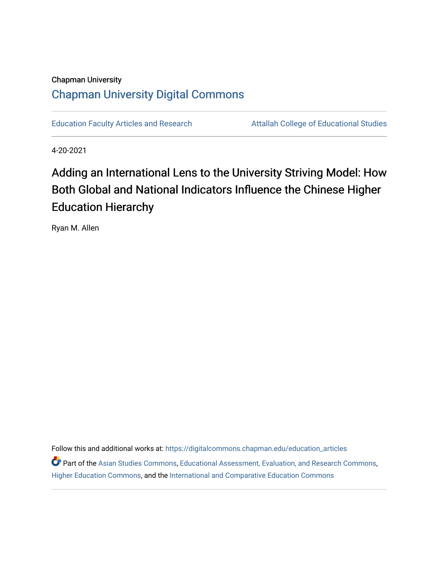# Chapman University [Chapman University Digital Commons](https://digitalcommons.chapman.edu/)

[Education Faculty Articles and Research](https://digitalcommons.chapman.edu/education_articles) **Attallah College of Educational Studies** 

4-20-2021

# Adding an International Lens to the University Striving Model: How Both Global and National Indicators Influence the Chinese Higher Education Hierarchy

Ryan M. Allen

Follow this and additional works at: [https://digitalcommons.chapman.edu/education\\_articles](https://digitalcommons.chapman.edu/education_articles?utm_source=digitalcommons.chapman.edu%2Feducation_articles%2F298&utm_medium=PDF&utm_campaign=PDFCoverPages) **P** Part of the [Asian Studies Commons,](http://network.bepress.com/hgg/discipline/361?utm_source=digitalcommons.chapman.edu%2Feducation_articles%2F298&utm_medium=PDF&utm_campaign=PDFCoverPages) [Educational Assessment, Evaluation, and Research Commons,](http://network.bepress.com/hgg/discipline/796?utm_source=digitalcommons.chapman.edu%2Feducation_articles%2F298&utm_medium=PDF&utm_campaign=PDFCoverPages) [Higher Education Commons,](http://network.bepress.com/hgg/discipline/1245?utm_source=digitalcommons.chapman.edu%2Feducation_articles%2F298&utm_medium=PDF&utm_campaign=PDFCoverPages) and the [International and Comparative Education Commons](http://network.bepress.com/hgg/discipline/797?utm_source=digitalcommons.chapman.edu%2Feducation_articles%2F298&utm_medium=PDF&utm_campaign=PDFCoverPages)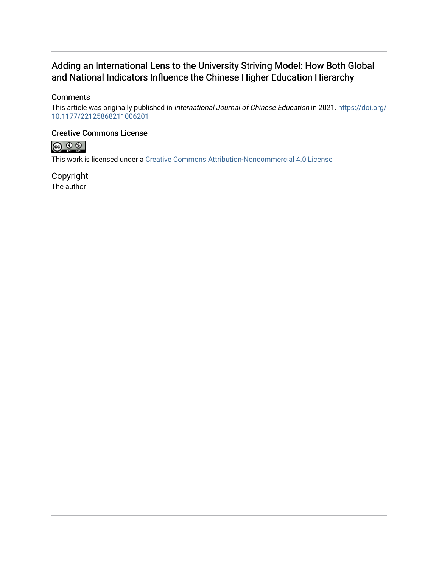# Adding an International Lens to the University Striving Model: How Both Global and National Indicators Influence the Chinese Higher Education Hierarchy

# **Comments**

This article was originally published in International Journal of Chinese Education in 2021. [https://doi.org/](https://doi.org/10.1177/22125868211006201) [10.1177/22125868211006201](https://doi.org/10.1177/22125868211006201) 

# Creative Commons License



This work is licensed under a [Creative Commons Attribution-Noncommercial 4.0 License](https://creativecommons.org/licenses/by-nc/4.0/) 

Copyright The author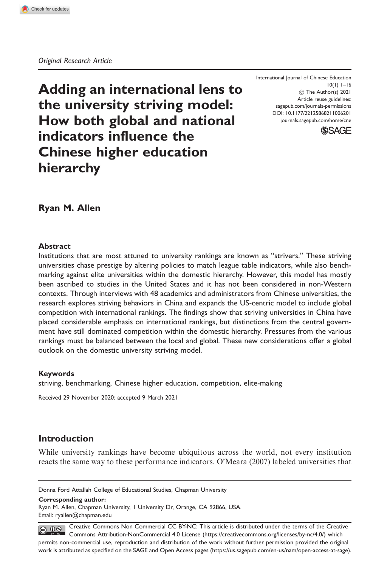Adding an international lens to the university striving model: How both global and national indicators influence the Chinese higher education hierarchy

International Journal of Chinese Education 10(1) 1–16 ! The Author(s) 2021 Article reuse guidelines: [sagepub.com/journals-permissions](http://uk.sagepub.com/en-gb/journals-permissions) [DOI: 10.1177/22125868211006201](http://dx.doi.org/10.1177/22125868211006201) <journals.sagepub.com/home/cne>



Ryan M. Allen

#### Abstract

Institutions that are most attuned to university rankings are known as "strivers." These striving universities chase prestige by altering policies to match league table indicators, while also benchmarking against elite universities within the domestic hierarchy. However, this model has mostly been ascribed to studies in the United States and it has not been considered in non-Western contexts. Through interviews with 48 academics and administrators from Chinese universities, the research explores striving behaviors in China and expands the US-centric model to include global competition with international rankings. The findings show that striving universities in China have placed considerable emphasis on international rankings, but distinctions from the central government have still dominated competition within the domestic hierarchy. Pressures from the various rankings must be balanced between the local and global. These new considerations offer a global outlook on the domestic university striving model.

#### Keywords

striving, benchmarking, Chinese higher education, competition, elite-making

Received 29 November 2020; accepted 9 March 2021

## Introduction

While university rankings have become ubiquitous across the world, not every institution reacts the same way to these performance indicators. O'Meara (2007) labeled universities that

Donna Ford Attallah College of Educational Studies, Chapman University

Corresponding author:

Ryan M. Allen, Chapman University, 1 University Dr, Orange, CA 92866, USA. Email: [ryallen@chapman.edu](mailto:ryallen@chapman.edu)

Creative Commons Non Commercial CC BY-NC: This article is distributed under the terms of the Creative  $\circledcirc$   $\circledcirc$ Commons Attribution-NonCommercial 4.0 License (https://creativecommons.org/licenses/by-nc/4.0/) which permits non-commercial use, reproduction and distribution of the work without further permission provided the original work is attributed as specified on the SAGE and Open Access pages (https://us.sagepub.com/en-us/nam/open-access-at-sage).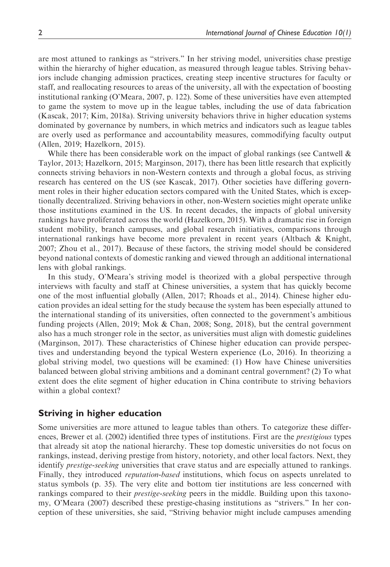are most attuned to rankings as "strivers." In her striving model, universities chase prestige within the hierarchy of higher education, as measured through league tables. Striving behaviors include changing admission practices, creating steep incentive structures for faculty or staff, and reallocating resources to areas of the university, all with the expectation of boosting institutional ranking (O'Meara, 2007, p. 122). Some of these universities have even attempted to game the system to move up in the league tables, including the use of data fabrication (Kascak, 2017; Kim, 2018a). Striving university behaviors thrive in higher education systems dominated by governance by numbers, in which metrics and indicators such as league tables are overly used as performance and accountability measures, commodifying faculty output (Allen, 2019; Hazelkorn, 2015).

While there has been considerable work on the impact of global rankings (see Cantwell  $\&$ Taylor, 2013; Hazelkorn, 2015; Marginson, 2017), there has been little research that explicitly connects striving behaviors in non-Western contexts and through a global focus, as striving research has centered on the US (see Kascak, 2017). Other societies have differing government roles in their higher education sectors compared with the United States, which is exceptionally decentralized. Striving behaviors in other, non-Western societies might operate unlike those institutions examined in the US. In recent decades, the impacts of global university rankings have proliferated across the world (Hazelkorn, 2015). With a dramatic rise in foreign student mobility, branch campuses, and global research initiatives, comparisons through international rankings have become more prevalent in recent years (Altbach & Knight, 2007; Zhou et al., 2017). Because of these factors, the striving model should be considered beyond national contexts of domestic ranking and viewed through an additional international lens with global rankings.

In this study, O'Meara's striving model is theorized with a global perspective through interviews with faculty and staff at Chinese universities, a system that has quickly become one of the most influential globally (Allen, 2017; Rhoads et al., 2014). Chinese higher education provides an ideal setting for the study because the system has been especially attuned to the international standing of its universities, often connected to the government's ambitious funding projects (Allen, 2019; Mok & Chan, 2008; Song, 2018), but the central government also has a much stronger role in the sector, as universities must align with domestic guidelines (Marginson, 2017). These characteristics of Chinese higher education can provide perspectives and understanding beyond the typical Western experience (Lo, 2016). In theorizing a global striving model, two questions will be examined: (1) How have Chinese universities balanced between global striving ambitions and a dominant central government? (2) To what extent does the elite segment of higher education in China contribute to striving behaviors within a global context?

# Striving in higher education

Some universities are more attuned to league tables than others. To categorize these differences, Brewer et al. (2002) identified three types of institutions. First are the prestigious types that already sit atop the national hierarchy. These top domestic universities do not focus on rankings, instead, deriving prestige from history, notoriety, and other local factors. Next, they identify prestige-seeking universities that crave status and are especially attuned to rankings. Finally, they introduced *reputation-based* institutions, which focus on aspects unrelated to status symbols (p. 35). The very elite and bottom tier institutions are less concerned with rankings compared to their *prestige-seeking* peers in the middle. Building upon this taxonomy, O'Meara (2007) described these prestige-chasing institutions as "strivers." In her conception of these universities, she said, "Striving behavior might include campuses amending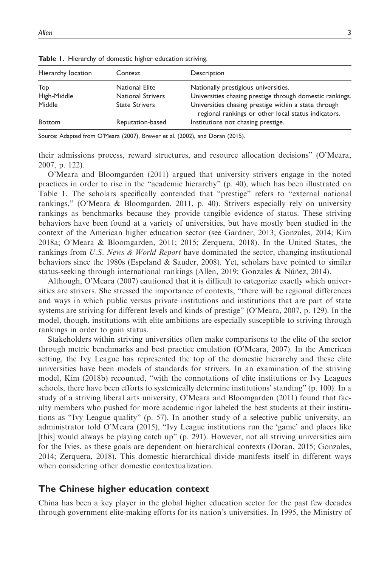| Hierarchy location | Context                  | Description                                                                                                 |
|--------------------|--------------------------|-------------------------------------------------------------------------------------------------------------|
| Top                | National Elite           | Nationally prestigious universities.                                                                        |
| High-Middle        | <b>National Strivers</b> | Universities chasing prestige through domestic rankings.                                                    |
| Middle             | <b>State Strivers</b>    | Universities chasing prestige within a state through<br>regional rankings or other local status indicators. |
| <b>Bottom</b>      | Reputation-based         | Institutions not chasing prestige.                                                                          |

Table 1. Hierarchy of domestic higher education striving.

Source: Adapted from O'Meara (2007), Brewer et al. (2002), and Doran (2015).

their admissions process, reward structures, and resource allocation decisions" (O'Meara, 2007, p. 122).

O'Meara and Bloomgarden (2011) argued that university strivers engage in the noted practices in order to rise in the "academic hierarchy" (p. 40), which has been illustrated on Table 1. The scholars specifically contended that "prestige" refers to "external national rankings," (O'Meara & Bloomgarden, 2011, p. 40). Strivers especially rely on university rankings as benchmarks because they provide tangible evidence of status. These striving behaviors have been found at a variety of universities, but have mostly been studied in the context of the American higher education sector (see Gardner, 2013; Gonzales, 2014; Kim 2018a; O'Meara & Bloomgarden, 2011; 2015; Zerquera, 2018). In the United States, the rankings from U.S. News & World Report have dominated the sector, changing institutional behaviors since the 1980s (Espeland & Sauder, 2008). Yet, scholars have pointed to similar status-seeking through international rankings (Allen, 2019; Gonzales  $\&$  Núñez, 2014).

Although, O'Meara (2007) cautioned that it is difficult to categorize exactly which universities are strivers. She stressed the importance of contexts, "there will be regional differences and ways in which public versus private institutions and institutions that are part of state systems are striving for different levels and kinds of prestige" (O'Meara, 2007, p. 129). In the model, though, institutions with elite ambitions are especially susceptible to striving through rankings in order to gain status.

Stakeholders within striving universities often make comparisons to the elite of the sector through metric benchmarks and best practice emulation (O'Meara, 2007). In the American setting, the Ivy League has represented the top of the domestic hierarchy and these elite universities have been models of standards for strivers. In an examination of the striving model, Kim (2018b) recounted, "with the connotations of elite institutions or Ivy Leagues schools, there have been efforts to systemically determine institutions' standing" (p. 100). In a study of a striving liberal arts university, O'Meara and Bloomgarden (2011) found that faculty members who pushed for more academic rigor labeled the best students at their institutions as "Ivy League quality" (p. 57). In another study of a selective public university, an administrator told O'Meara (2015), "Ivy League institutions run the 'game' and places like [this] would always be playing catch up" (p. 291). However, not all striving universities aim for the Ivies, as these goals are dependent on hierarchical contexts (Doran, 2015; Gonzales, 2014; Zerquera, 2018). This domestic hierarchical divide manifests itself in different ways when considering other domestic contextualization.

## The Chinese higher education context

China has been a key player in the global higher education sector for the past few decades through government elite-making efforts for its nation's universities. In 1995, the Ministry of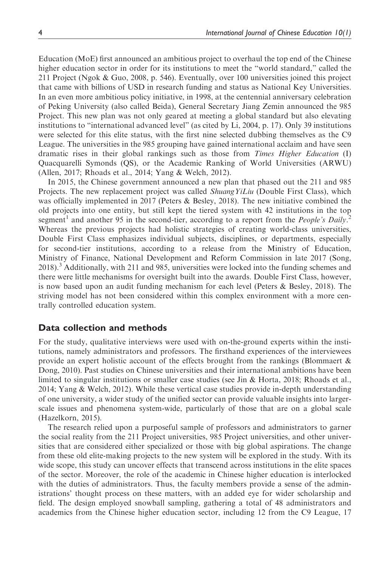Education (MoE) first announced an ambitious project to overhaul the top end of the Chinese higher education sector in order for its institutions to meet the "world standard," called the 211 Project (Ngok & Guo, 2008, p. 546). Eventually, over 100 universities joined this project that came with billions of USD in research funding and status as National Key Universities. In an even more ambitious policy initiative, in 1998, at the centennial anniversary celebration of Peking University (also called Beida), General Secretary Jiang Zemin announced the 985 Project. This new plan was not only geared at meeting a global standard but also elevating institutions to "international advanced level" (as cited by Li, 2004, p. 17). Only 39 institutions were selected for this elite status, with the first nine selected dubbing themselves as the C9 League. The universities in the 985 grouping have gained international acclaim and have seen dramatic rises in their global rankings such as those from Times Higher Education (I) Quacquarelli Symonds (QS), or the Academic Ranking of World Universities (ARWU) (Allen, 2017; Rhoads et al., 2014; Yang & Welch, 2012).

In 2015, the Chinese government announced a new plan that phased out the 211 and 985 Projects. The new replacement project was called *ShuangYiLiu* (Double First Class), which was officially implemented in 2017 (Peters & Besley, 2018). The new initiative combined the old projects into one entity, but still kept the tiered system with 42 institutions in the top segment<sup>1</sup> and another 95 in the second-tier, according to a report from the *People's Daily*.<sup>2</sup> Whereas the previous projects had holistic strategies of creating world-class universities, Double First Class emphasizes individual subjects, disciplines, or departments, especially for second-tier institutions, according to a release from the Ministry of Education, Ministry of Finance, National Development and Reform Commission in late 2017 (Song, 2018).<sup>3</sup> Additionally, with 211 and 985, universities were locked into the funding schemes and there were little mechanisms for oversight built into the awards. Double First Class, however, is now based upon an audit funding mechanism for each level (Peters & Besley, 2018). The striving model has not been considered within this complex environment with a more centrally controlled education system.

#### Data collection and methods

For the study, qualitative interviews were used with on-the-ground experts within the institutions, namely administrators and professors. The firsthand experiences of the interviewees provide an expert holistic account of the effects brought from the rankings (Blommaert & Dong, 2010). Past studies on Chinese universities and their international ambitions have been limited to singular institutions or smaller case studies (see Jin & Horta, 2018; Rhoads et al., 2014; Yang & Welch, 2012). While these vertical case studies provide in-depth understanding of one university, a wider study of the unified sector can provide valuable insights into largerscale issues and phenomena system-wide, particularly of those that are on a global scale (Hazelkorn, 2015).

The research relied upon a purposeful sample of professors and administrators to garner the social reality from the 211 Project universities, 985 Project universities, and other universities that are considered either specialized or those with big global aspirations. The change from these old elite-making projects to the new system will be explored in the study. With its wide scope, this study can uncover effects that transcend across institutions in the elite spaces of the sector. Moreover, the role of the academic in Chinese higher education is interlocked with the duties of administrators. Thus, the faculty members provide a sense of the administrations' thought process on these matters, with an added eye for wider scholarship and field. The design employed snowball sampling, gathering a total of 48 administrators and academics from the Chinese higher education sector, including 12 from the C9 League, 17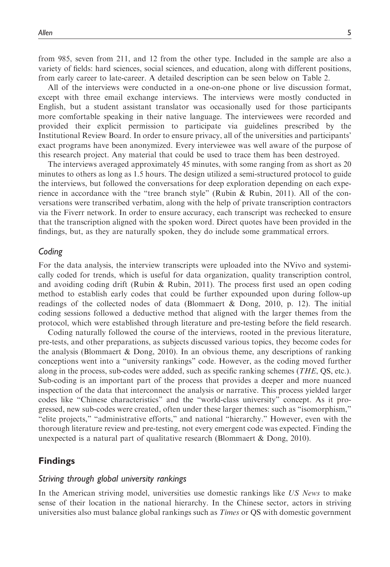from 985, seven from 211, and 12 from the other type. Included in the sample are also a variety of fields: hard sciences, social sciences, and education, along with different positions, from early career to late-career. A detailed description can be seen below on Table 2.

All of the interviews were conducted in a one-on-one phone or live discussion format, except with three email exchange interviews. The interviews were mostly conducted in English, but a student assistant translator was occasionally used for those participants more comfortable speaking in their native language. The interviewees were recorded and provided their explicit permission to participate via guidelines prescribed by the Institutional Review Board. In order to ensure privacy, all of the universities and participants' exact programs have been anonymized. Every interviewee was well aware of the purpose of this research project. Any material that could be used to trace them has been destroyed.

The interviews averaged approximately 45 minutes, with some ranging from as short as 20 minutes to others as long as 1.5 hours. The design utilized a semi-structured protocol to guide the interviews, but followed the conversations for deep exploration depending on each experience in accordance with the "tree branch style" (Rubin & Rubin, 2011). All of the conversations were transcribed verbatim, along with the help of private transcription contractors via the Fiverr network. In order to ensure accuracy, each transcript was rechecked to ensure that the transcription aligned with the spoken word. Direct quotes have been provided in the findings, but, as they are naturally spoken, they do include some grammatical errors.

#### Coding

For the data analysis, the interview transcripts were uploaded into the NVivo and systemically coded for trends, which is useful for data organization, quality transcription control, and avoiding coding drift (Rubin & Rubin, 2011). The process first used an open coding method to establish early codes that could be further expounded upon during follow-up readings of the collected nodes of data (Blommaert & Dong, 2010, p. 12). The initial coding sessions followed a deductive method that aligned with the larger themes from the protocol, which were established through literature and pre-testing before the field research.

Coding naturally followed the course of the interviews, rooted in the previous literature, pre-tests, and other preparations, as subjects discussed various topics, they become codes for the analysis (Blommaert & Dong, 2010). In an obvious theme, any descriptions of ranking conceptions went into a "university rankings" code. However, as the coding moved further along in the process, sub-codes were added, such as specific ranking schemes (THE, QS, etc.). Sub-coding is an important part of the process that provides a deeper and more nuanced inspection of the data that interconnect the analysis or narrative. This process yielded larger codes like "Chinese characteristics" and the "world-class university" concept. As it progressed, new sub-codes were created, often under these larger themes: such as "isomorphism," "elite projects," "administrative efforts," and national "hierarchy." However, even with the thorough literature review and pre-testing, not every emergent code was expected. Finding the unexpected is a natural part of qualitative research (Blommaert & Dong, 2010).

## Findings

#### Striving through global university rankings

In the American striving model, universities use domestic rankings like US News to make sense of their location in the national hierarchy. In the Chinese sector, actors in striving universities also must balance global rankings such as *Times* or QS with domestic government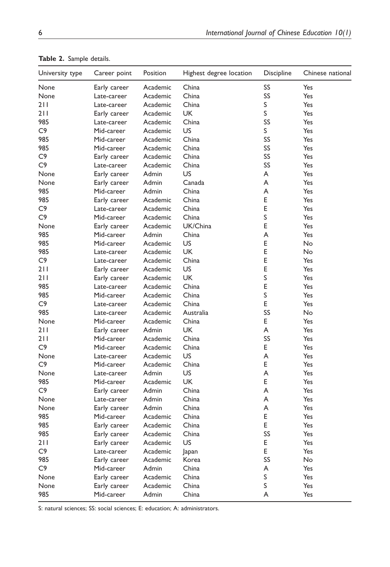| University type | Career point | Position | Highest degree location | Discipline | Chinese national |
|-----------------|--------------|----------|-------------------------|------------|------------------|
| None            | Early career | Academic | China                   | SS         | Yes              |
| None            | Late-career  | Academic | China                   | SS         | Yes              |
| 211             | Late-career  | Academic | China                   | S          | Yes              |
| 211             | Early career | Academic | <b>UK</b>               | S          | Yes              |
| 985             | Late-career  | Academic | China                   | SS         | Yes              |
| C <sub>9</sub>  | Mid-career   | Academic | US                      | S          | Yes              |
| 985             | Mid-career   | Academic | China                   | SS         | Yes              |
| 985             | Mid-career   | Academic | China                   | SS         | Yes              |
| C <sub>9</sub>  | Early career | Academic | China                   | SS         | Yes              |
| C <sub>9</sub>  | Late-career  | Academic | China                   | SS         | Yes              |
| None            | Early career | Admin    | US                      | A          | Yes              |
| None            | Early career | Admin    | Canada                  | A          | Yes              |
| 985             | Mid-career   | Admin    | China                   | A          | Yes              |
| 985             | Early career | Academic | China                   | E          | Yes              |
| C <sub>9</sub>  | Late-career  | Academic | China                   | E          | Yes              |
| C <sub>9</sub>  | Mid-career   | Academic | China                   | S          | Yes              |
| None            | Early career | Academic | UK/China                | E          | Yes              |
| 985             | Mid-career   | Admin    | China                   | A          | Yes              |
| 985             | Mid-career   | Academic | US                      | E          | <b>No</b>        |
| 985             | Late-career  | Academic | UK                      | E          | No               |
| C <sub>9</sub>  | Late-career  | Academic | China                   | E          | Yes              |
| 211             | Early career | Academic | US                      | E          | Yes              |
| 211             | Early career | Academic | UK                      | S          | Yes              |
| 985             | Late-career  | Academic | China                   | E          | Yes              |
| 985             | Mid-career   | Academic | China                   | S          | Yes              |
| C9              | Late-career  | Academic | China                   | E          | Yes              |
| 985             | Late-career  | Academic | Australia               | SS         | No               |
| None            | Mid-career   | Academic | China                   | E          | Yes              |
| 211             | Early career | Admin    | UK                      | A          | Yes              |
| 211             | Mid-career   | Academic | China                   | SS         | Yes              |
| C <sub>9</sub>  | Mid-career   | Academic | China                   | E          | Yes              |
| None            | Late-career  | Academic | US                      | A          | Yes              |
| C <sub>9</sub>  | Mid-career   | Academic | China                   | E          | Yes              |
| None            | Late-career  | Admin    | US                      | A          | Yes              |
| 985             | Mid-career   | Academic | UK                      | E          | Yes              |
| C <sub>9</sub>  | Early career | Admin    | China                   | A          | Yes              |
| None            | Late-career  | Admin    | China                   | A          | Yes              |
| None            | Early career | Admin    | China                   | A          | Yes              |
| 985             | Mid-career   | Academic | China                   | E          | Yes              |
| 985             | Early career | Academic | China                   | Ε          | Yes              |
| 985             | Early career | Academic | China                   | SS         | Yes              |
| 211             | Early career | Academic | US                      | E          | Yes              |
| C9              |              | Academic |                         | E          |                  |
| 985             | Late-career  |          | Japan<br>Korea          |            | Yes              |
|                 | Early career | Academic |                         | SS         | No               |
| C9              | Mid-career   | Admin    | China                   | Α<br>S     | Yes              |
| None            | Early career | Academic | China                   | S          | Yes              |
| None            | Early career | Academic | China                   |            | Yes              |
| 985             | Mid-career   | Admin    | China                   | A          | Yes              |

Table 2. Sample details.

S: natural sciences; SS: social sciences; E: education; A: administrators.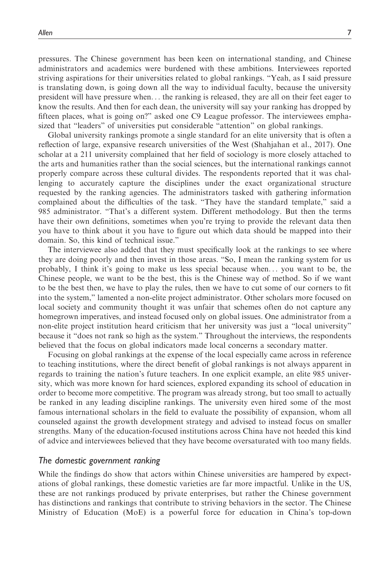pressures. The Chinese government has been keen on international standing, and Chinese administrators and academics were burdened with these ambitions. Interviewees reported striving aspirations for their universities related to global rankings. "Yeah, as I said pressure is translating down, is going down all the way to individual faculty, because the university president will have pressure when... the ranking is released, they are all on their feet eager to know the results. And then for each dean, the university will say your ranking has dropped by fifteen places, what is going on?" asked one C9 League professor. The interviewees emphasized that "leaders" of universities put considerable "attention" on global rankings.

Global university rankings promote a single standard for an elite university that is often a reflection of large, expansive research universities of the West (Shahjahan et al., 2017). One scholar at a 211 university complained that her field of sociology is more closely attached to the arts and humanities rather than the social sciences, but the international rankings cannot properly compare across these cultural divides. The respondents reported that it was challenging to accurately capture the disciplines under the exact organizational structure requested by the ranking agencies. The administrators tasked with gathering information complained about the difficulties of the task. "They have the standard template," said a 985 administrator. "That's a different system. Different methodology. But then the terms have their own definitions, sometimes when you're trying to provide the relevant data then you have to think about it you have to figure out which data should be mapped into their domain. So, this kind of technical issue."

The interviewee also added that they must specifically look at the rankings to see where they are doing poorly and then invest in those areas. "So, I mean the ranking system for us probably, I think it's going to make us less special because when... you want to be, the Chinese people, we want to be the best, this is the Chinese way of method. So if we want to be the best then, we have to play the rules, then we have to cut some of our corners to fit into the system," lamented a non-elite project administrator. Other scholars more focused on local society and community thought it was unfair that schemes often do not capture any homegrown imperatives, and instead focused only on global issues. One administrator from a non-elite project institution heard criticism that her university was just a "local university" because it "does not rank so high as the system." Throughout the interviews, the respondents believed that the focus on global indicators made local concerns a secondary matter.

Focusing on global rankings at the expense of the local especially came across in reference to teaching institutions, where the direct benefit of global rankings is not always apparent in regards to training the nation's future teachers. In one explicit example, an elite 985 university, which was more known for hard sciences, explored expanding its school of education in order to become more competitive. The program was already strong, but too small to actually be ranked in any leading discipline rankings. The university even hired some of the most famous international scholars in the field to evaluate the possibility of expansion, whom all counseled against the growth development strategy and advised to instead focus on smaller strengths. Many of the education-focused institutions across China have not heeded this kind of advice and interviewees believed that they have become oversaturated with too many fields.

#### The domestic government ranking

While the findings do show that actors within Chinese universities are hampered by expectations of global rankings, these domestic varieties are far more impactful. Unlike in the US, these are not rankings produced by private enterprises, but rather the Chinese government has distinctions and rankings that contribute to striving behaviors in the sector. The Chinese Ministry of Education (MoE) is a powerful force for education in China's top-down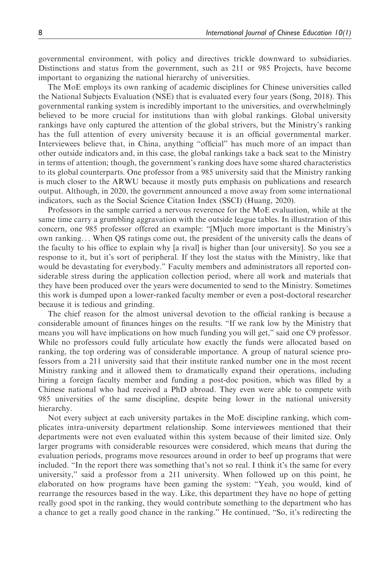governmental environment, with policy and directives trickle downward to subsidiaries. Distinctions and status from the government, such as 211 or 985 Projects, have become important to organizing the national hierarchy of universities.

The MoE employs its own ranking of academic disciplines for Chinese universities called the National Subjects Evaluation (NSE) that is evaluated every four years (Song, 2018). This governmental ranking system is incredibly important to the universities, and overwhelmingly believed to be more crucial for institutions than with global rankings. Global university rankings have only captured the attention of the global strivers, but the Ministry's ranking has the full attention of every university because it is an official governmental marker. Interviewees believe that, in China, anything "official" has much more of an impact than other outside indicators and, in this case, the global rankings take a back seat to the Ministry in terms of attention; though, the government's ranking does have some shared characteristics to its global counterparts. One professor from a 985 university said that the Ministry ranking is much closer to the ARWU because it mostly puts emphasis on publications and research output. Although, in 2020, the government announced a move away from some international indicators, such as the Social Science Citation Index (SSCI) (Huang, 2020).

Professors in the sample carried a nervous reverence for the MoE evaluation, while at the same time carry a grumbling aggravation with the outside league tables. In illustration of this concern, one 985 professor offered an example: "[M]uch more important is the Ministry's own ranking... When QS ratings come out, the president of the university calls the deans of the faculty to his office to explain why [a rival] is higher than [our university]. So you see a response to it, but it's sort of peripheral. If they lost the status with the Ministry, like that would be devastating for everybody." Faculty members and administrators all reported considerable stress during the application collection period, where all work and materials that they have been produced over the years were documented to send to the Ministry. Sometimes this work is dumped upon a lower-ranked faculty member or even a post-doctoral researcher because it is tedious and grinding.

The chief reason for the almost universal devotion to the official ranking is because a considerable amount of finances hinges on the results. "If we rank low by the Ministry that means you will have implications on how much funding you will get," said one C9 professor. While no professors could fully articulate how exactly the funds were allocated based on ranking, the top ordering was of considerable importance. A group of natural science professors from a 211 university said that their institute ranked number one in the most recent Ministry ranking and it allowed them to dramatically expand their operations, including hiring a foreign faculty member and funding a post-doc position, which was filled by a Chinese national who had received a PhD abroad. They even were able to compete with 985 universities of the same discipline, despite being lower in the national university hierarchy.

Not every subject at each university partakes in the MoE discipline ranking, which complicates intra-university department relationship. Some interviewees mentioned that their departments were not even evaluated within this system because of their limited size. Only larger programs with considerable resources were considered, which means that during the evaluation periods, programs move resources around in order to beef up programs that were included. "In the report there was something that's not so real. I think it's the same for every university," said a professor from a 211 university. When followed up on this point, he elaborated on how programs have been gaming the system: "Yeah, you would, kind of rearrange the resources based in the way. Like, this department they have no hope of getting really good spot in the ranking, they would contribute something to the department who has a chance to get a really good chance in the ranking." He continued, "So, it's redirecting the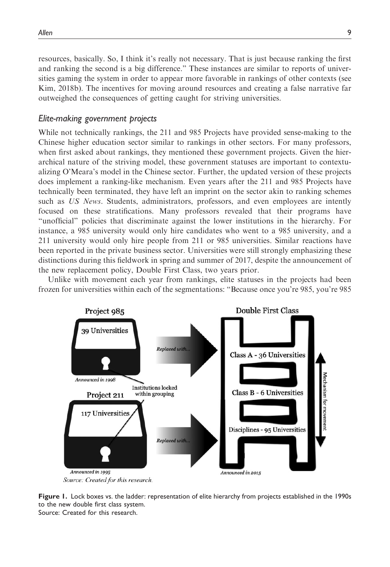resources, basically. So, I think it's really not necessary. That is just because ranking the first and ranking the second is a big difference." These instances are similar to reports of universities gaming the system in order to appear more favorable in rankings of other contexts (see Kim, 2018b). The incentives for moving around resources and creating a false narrative far outweighed the consequences of getting caught for striving universities.

#### Elite-making government projects

While not technically rankings, the 211 and 985 Projects have provided sense-making to the Chinese higher education sector similar to rankings in other sectors. For many professors, when first asked about rankings, they mentioned these government projects. Given the hierarchical nature of the striving model, these government statuses are important to contextualizing O'Meara's model in the Chinese sector. Further, the updated version of these projects does implement a ranking-like mechanism. Even years after the 211 and 985 Projects have technically been terminated, they have left an imprint on the sector akin to ranking schemes such as US News. Students, administrators, professors, and even employees are intently focused on these stratifications. Many professors revealed that their programs have "unofficial" policies that discriminate against the lower institutions in the hierarchy. For instance, a 985 university would only hire candidates who went to a 985 university, and a 211 university would only hire people from 211 or 985 universities. Similar reactions have been reported in the private business sector. Universities were still strongly emphasizing these distinctions during this fieldwork in spring and summer of 2017, despite the announcement of the new replacement policy, Double First Class, two years prior.

Unlike with movement each year from rankings, elite statuses in the projects had been frozen for universities within each of the segmentations: "Because once you're 985, you're 985



Figure 1. Lock boxes vs. the ladder: representation of elite hierarchy from projects established in the 1990s to the new double first class system. Source: Created for this research.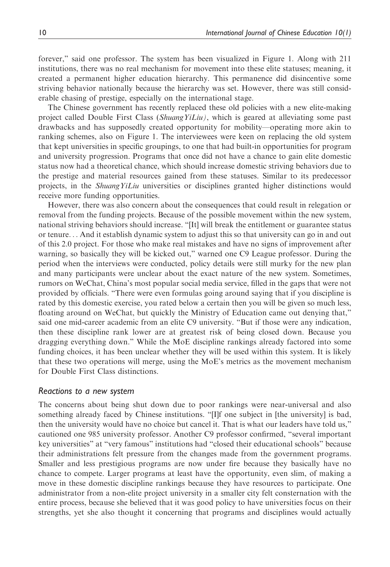forever," said one professor. The system has been visualized in Figure 1. Along with 211 institutions, there was no real mechanism for movement into these elite statuses; meaning, it created a permanent higher education hierarchy. This permanence did disincentive some striving behavior nationally because the hierarchy was set. However, there was still considerable chasing of prestige, especially on the international stage.

The Chinese government has recently replaced these old policies with a new elite-making project called Double First Class (Shuang YiLiu), which is geared at alleviating some past drawbacks and has supposedly created opportunity for mobility—operating more akin to ranking schemes, also on Figure 1. The interviewees were keen on replacing the old system that kept universities in specific groupings, to one that had built-in opportunities for program and university progression. Programs that once did not have a chance to gain elite domestic status now had a theoretical chance, which should increase domestic striving behaviors due to the prestige and material resources gained from these statuses. Similar to its predecessor projects, in the *ShuangYiLiu* universities or disciplines granted higher distinctions would receive more funding opportunities.

However, there was also concern about the consequences that could result in relegation or removal from the funding projects. Because of the possible movement within the new system, national striving behaviors should increase. "[It] will break the entitlement or guarantee status or tenure... And it establish dynamic system to adjust this so that university can go in and out of this 2.0 project. For those who make real mistakes and have no signs of improvement after warning, so basically they will be kicked out," warned one C9 League professor. During the period when the interviews were conducted, policy details were still murky for the new plan and many participants were unclear about the exact nature of the new system. Sometimes, rumors on WeChat, China's most popular social media service, filled in the gaps that were not provided by officials. "There were even formulas going around saying that if you discipline is rated by this domestic exercise, you rated below a certain then you will be given so much less, floating around on WeChat, but quickly the Ministry of Education came out denying that," said one mid-career academic from an elite C9 university. "But if those were any indication, then these discipline rank lower are at greatest risk of being closed down. Because you dragging everything down." While the MoE discipline rankings already factored into some funding choices, it has been unclear whether they will be used within this system. It is likely that these two operations will merge, using the MoE's metrics as the movement mechanism for Double First Class distinctions.

#### Reactions to a new system

The concerns about being shut down due to poor rankings were near-universal and also something already faced by Chinese institutions. "[I]f one subject in [the university] is bad, then the university would have no choice but cancel it. That is what our leaders have told us," cautioned one 985 university professor. Another C9 professor confirmed, "several important key universities" at "very famous" institutions had "closed their educational schools" because their administrations felt pressure from the changes made from the government programs. Smaller and less prestigious programs are now under fire because they basically have no chance to compete. Larger programs at least have the opportunity, even slim, of making a move in these domestic discipline rankings because they have resources to participate. One administrator from a non-elite project university in a smaller city felt consternation with the entire process, because she believed that it was good policy to have universities focus on their strengths, yet she also thought it concerning that programs and disciplines would actually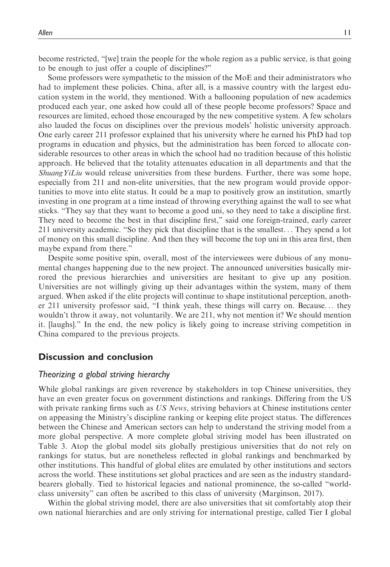become restricted, "[we] train the people for the whole region as a public service, is that going to be enough to just offer a couple of disciplines?"

Some professors were sympathetic to the mission of the MoE and their administrators who had to implement these policies. China, after all, is a massive country with the largest education system in the world, they mentioned. With a ballooning population of new academics produced each year, one asked how could all of these people become professors? Space and resources are limited, echoed those encouraged by the new competitive system. A few scholars also lauded the focus on disciplines over the previous models' holistic university approach. One early career 211 professor explained that his university where he earned his PhD had top programs in education and physics, but the administration has been forced to allocate considerable resources to other areas in which the school had no tradition because of this holistic approach. He believed that the totality attenuates education in all departments and that the Shuang YiLiu would release universities from these burdens. Further, there was some hope, especially from 211 and non-elite universities, that the new program would provide opportunities to move into elite status. It could be a map to positively grow an institution, smartly investing in one program at a time instead of throwing everything against the wall to see what sticks. "They say that they want to become a good uni, so they need to take a discipline first. They need to become the best in that discipline first," said one foreign-trained, early career 211 university academic. "So they pick that discipline that is the smallest... They spend a lot of money on this small discipline. And then they will become the top uni in this area first, then maybe expand from there."

Despite some positive spin, overall, most of the interviewees were dubious of any monumental changes happening due to the new project. The announced universities basically mirrored the previous hierarchies and universities are hesitant to give up any position. Universities are not willingly giving up their advantages within the system, many of them argued. When asked if the elite projects will continue to shape institutional perception, another 211 university professor said, "I think yeah, these things will carry on. Because... they wouldn't throw it away, not voluntarily. We are 211, why not mention it? We should mention it. [laughs]." In the end, the new policy is likely going to increase striving competition in China compared to the previous projects.

#### Discussion and conclusion

#### Theorizing a global striving hierarchy

While global rankings are given reverence by stakeholders in top Chinese universities, they have an even greater focus on government distinctions and rankings. Differing from the US with private ranking firms such as US News, striving behaviors at Chinese institutions center on appeasing the Ministry's discipline ranking or keeping elite project status. The differences between the Chinese and American sectors can help to understand the striving model from a more global perspective. A more complete global striving model has been illustrated on Table 3. Atop the global model sits globally prestigious universities that do not rely on rankings for status, but are nonetheless reflected in global rankings and benchmarked by other institutions. This handful of global elites are emulated by other institutions and sectors across the world. These institutions set global practices and are seen as the industry standardbearers globally. Tied to historical legacies and national prominence, the so-called "worldclass university" can often be ascribed to this class of university (Marginson, 2017).

Within the global striving model, there are also universities that sit comfortably atop their own national hierarchies and are only striving for international prestige, called Tier I global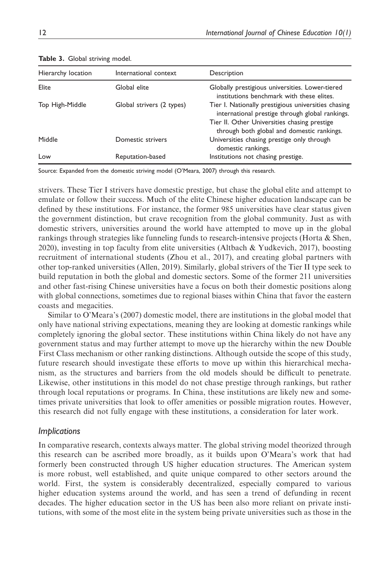| Hierarchy location | International context     | Description                                                                                            |
|--------------------|---------------------------|--------------------------------------------------------------------------------------------------------|
| Elite              | Global elite              | Globally prestigious universities. Lower-tiered<br>institutions benchmark with these elites.           |
| Top High-Middle    | Global strivers (2 types) | Tier I. Nationally prestigious universities chasing<br>international prestige through global rankings. |
|                    |                           | Tier II. Other Universities chasing prestige<br>through both global and domestic rankings.             |
| Middle             | Domestic strivers         | Universities chasing prestige only through<br>domestic rankings.                                       |
| Low                | Reputation-based          | Institutions not chasing prestige.                                                                     |

Table 3. Global striving model.

Source: Expanded from the domestic striving model (O'Meara, 2007) through this research.

strivers. These Tier I strivers have domestic prestige, but chase the global elite and attempt to emulate or follow their success. Much of the elite Chinese higher education landscape can be defined by these institutions. For instance, the former 985 universities have clear status given the government distinction, but crave recognition from the global community. Just as with domestic strivers, universities around the world have attempted to move up in the global rankings through strategies like funneling funds to research-intensive projects (Horta & Shen, 2020), investing in top faculty from elite universities (Altbach & Yudkevich, 2017), boosting recruitment of international students (Zhou et al., 2017), and creating global partners with other top-ranked universities (Allen, 2019). Similarly, global strivers of the Tier II type seek to build reputation in both the global and domestic sectors. Some of the former 211 universities and other fast-rising Chinese universities have a focus on both their domestic positions along with global connections, sometimes due to regional biases within China that favor the eastern coasts and megacities.

Similar to O'Meara's (2007) domestic model, there are institutions in the global model that only have national striving expectations, meaning they are looking at domestic rankings while completely ignoring the global sector. These institutions within China likely do not have any government status and may further attempt to move up the hierarchy within the new Double First Class mechanism or other ranking distinctions. Although outside the scope of this study, future research should investigate these efforts to move up within this hierarchical mechanism, as the structures and barriers from the old models should be difficult to penetrate. Likewise, other institutions in this model do not chase prestige through rankings, but rather through local reputations or programs. In China, these institutions are likely new and sometimes private universities that look to offer amenities or possible migration routes. However, this research did not fully engage with these institutions, a consideration for later work.

#### **Implications**

In comparative research, contexts always matter. The global striving model theorized through this research can be ascribed more broadly, as it builds upon O'Meara's work that had formerly been constructed through US higher education structures. The American system is more robust, well established, and quite unique compared to other sectors around the world. First, the system is considerably decentralized, especially compared to various higher education systems around the world, and has seen a trend of defunding in recent decades. The higher education sector in the US has been also more reliant on private institutions, with some of the most elite in the system being private universities such as those in the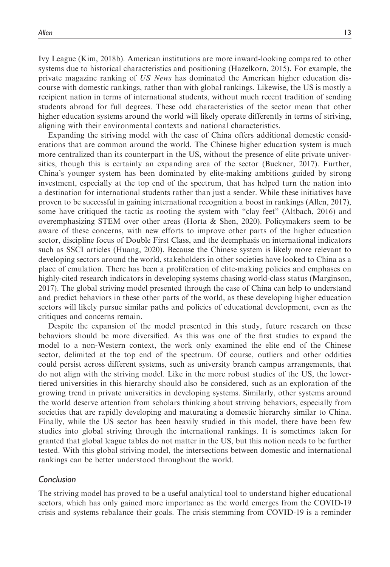Ivy League (Kim, 2018b). American institutions are more inward-looking compared to other systems due to historical characteristics and positioning (Hazelkorn, 2015). For example, the private magazine ranking of US News has dominated the American higher education discourse with domestic rankings, rather than with global rankings. Likewise, the US is mostly a recipient nation in terms of international students, without much recent tradition of sending students abroad for full degrees. These odd characteristics of the sector mean that other higher education systems around the world will likely operate differently in terms of striving, aligning with their environmental contexts and national characteristics.

Expanding the striving model with the case of China offers additional domestic considerations that are common around the world. The Chinese higher education system is much more centralized than its counterpart in the US, without the presence of elite private universities, though this is certainly an expanding area of the sector (Buckner, 2017). Further, China's younger system has been dominated by elite-making ambitions guided by strong investment, especially at the top end of the spectrum, that has helped turn the nation into a destination for international students rather than just a sender. While these initiatives have proven to be successful in gaining international recognition a boost in rankings (Allen, 2017), some have critiqued the tactic as rooting the system with "clay feet" (Altbach, 2016) and overemphasizing STEM over other areas (Horta & Shen, 2020). Policymakers seem to be aware of these concerns, with new efforts to improve other parts of the higher education sector, discipline focus of Double First Class, and the deemphasis on international indicators such as SSCI articles (Huang, 2020). Because the Chinese system is likely more relevant to developing sectors around the world, stakeholders in other societies have looked to China as a place of emulation. There has been a proliferation of elite-making policies and emphases on highly-cited research indicators in developing systems chasing world-class status (Marginson, 2017). The global striving model presented through the case of China can help to understand and predict behaviors in these other parts of the world, as these developing higher education sectors will likely pursue similar paths and policies of educational development, even as the critiques and concerns remain.

Despite the expansion of the model presented in this study, future research on these behaviors should be more diversified. As this was one of the first studies to expand the model to a non-Western context, the work only examined the elite end of the Chinese sector, delimited at the top end of the spectrum. Of course, outliers and other oddities could persist across different systems, such as university branch campus arrangements, that do not align with the striving model. Like in the more robust studies of the US, the lowertiered universities in this hierarchy should also be considered, such as an exploration of the growing trend in private universities in developing systems. Similarly, other systems around the world deserve attention from scholars thinking about striving behaviors, especially from societies that are rapidly developing and maturating a domestic hierarchy similar to China. Finally, while the US sector has been heavily studied in this model, there have been few studies into global striving through the international rankings. It is sometimes taken for granted that global league tables do not matter in the US, but this notion needs to be further tested. With this global striving model, the intersections between domestic and international rankings can be better understood throughout the world.

#### Conclusion

The striving model has proved to be a useful analytical tool to understand higher educational sectors, which has only gained more importance as the world emerges from the COVID-19 crisis and systems rebalance their goals. The crisis stemming from COVID-19 is a reminder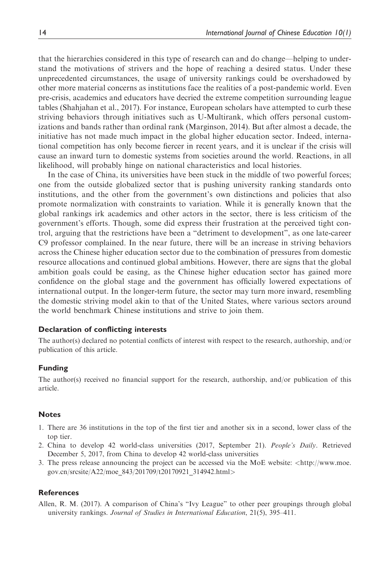that the hierarchies considered in this type of research can and do change—helping to understand the motivations of strivers and the hope of reaching a desired status. Under these unprecedented circumstances, the usage of university rankings could be overshadowed by other more material concerns as institutions face the realities of a post-pandemic world. Even pre-crisis, academics and educators have decried the extreme competition surrounding league tables (Shahjahan et al., 2017). For instance, European scholars have attempted to curb these striving behaviors through initiatives such as U-Multirank, which offers personal customizations and bands rather than ordinal rank (Marginson, 2014). But after almost a decade, the initiative has not made much impact in the global higher education sector. Indeed, international competition has only become fiercer in recent years, and it is unclear if the crisis will cause an inward turn to domestic systems from societies around the world. Reactions, in all likelihood, will probably hinge on national characteristics and local histories.

In the case of China, its universities have been stuck in the middle of two powerful forces; one from the outside globalized sector that is pushing university ranking standards onto institutions, and the other from the government's own distinctions and policies that also promote normalization with constraints to variation. While it is generally known that the global rankings irk academics and other actors in the sector, there is less criticism of the government's efforts. Though, some did express their frustration at the perceived tight control, arguing that the restrictions have been a "detriment to development", as one late-career C9 professor complained. In the near future, there will be an increase in striving behaviors across the Chinese higher education sector due to the combination of pressures from domestic resource allocations and continued global ambitions. However, there are signs that the global ambition goals could be easing, as the Chinese higher education sector has gained more confidence on the global stage and the government has officially lowered expectations of international output. In the longer-term future, the sector may turn more inward, resembling the domestic striving model akin to that of the United States, where various sectors around the world benchmark Chinese institutions and strive to join them.

#### Declaration of conflicting interests

The author(s) declared no potential conflicts of interest with respect to the research, authorship, and/or publication of this article.

#### Funding

The author(s) received no financial support for the research, authorship, and/or publication of this article.

#### Notes

- 1. There are 36 institutions in the top of the first tier and another six in a second, lower class of the top tier.
- 2. China to develop 42 world-class universities (2017, September 21). People's Daily. Retrieved December 5, 2017, from China to develop 42 world-class universities
- 3. The press release announcing the project can be accessed via the MoE website: <[http://www.moe.](http://www.moe.gov.cn/srcsite/A22/moe_843/201709/t20170921_314942.html) [gov.cn/srcsite/A22/moe\\_843/201709/t20170921\\_314942.html](http://www.moe.gov.cn/srcsite/A22/moe_843/201709/t20170921_314942.html)>

#### **References**

Allen, R. M. (2017). A comparison of China's "Ivy League" to other peer groupings through global university rankings. Journal of Studies in International Education, 21(5), 395–411.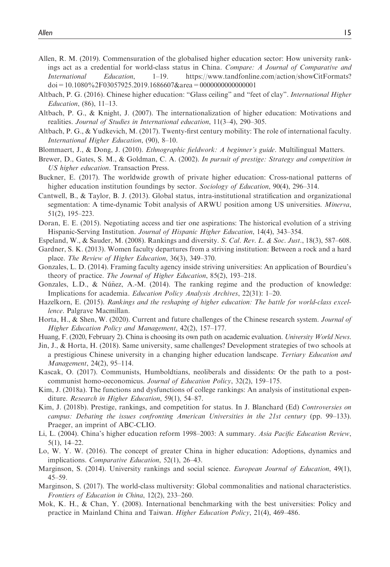- Allen, R. M. (2019). Commensuration of the globalised higher education sector: How university rankings act as a credential for world-class status in China. Compare: A Journal of Comparative and International Education, 1–19. https://www.tandfonline.com/action/showCitFormats? doi=10.1080%2F03057925.2019.1686607&area=0000000000000001
- Altbach, P. G. (2016). Chinese higher education: "Glass ceiling" and "feet of clay". International Higher Education, (86), 11–13.
- Altbach, P. G., & Knight, J. (2007). The internationalization of higher education: Motivations and realities. Journal of Studies in International education, 11(3–4), 290–305.
- Altbach, P. G., & Yudkevich, M. (2017). Twenty-first century mobility: The role of international faculty. International Higher Education, (90), 8–10.
- Blommaert, J., & Dong, J. (2010). Ethnographic fieldwork: A beginner's guide. Multilingual Matters.
- Brewer, D., Gates, S. M., & Goldman, C. A. (2002). In pursuit of prestige: Strategy and competition in US higher education. Transaction Press.
- Buckner, E. (2017). The worldwide growth of private higher education: Cross-national patterns of higher education institution foundings by sector. Sociology of Education, 90(4), 296–314.
- Cantwell, B., & Taylor, B. J. (2013). Global status, intra-institutional stratification and organizational segmentation: A time-dynamic Tobit analysis of ARWU position among US universities. Minerva, 51(2), 195–223.
- Doran, E. E. (2015). Negotiating access and tier one aspirations: The historical evolution of a striving Hispanic-Serving Institution. Journal of Hispanic Higher Education, 14(4), 343–354.
- Espeland, W., & Sauder, M. (2008). Rankings and diversity. S. Cal. Rev. L. & Soc. Just., 18(3), 587–608.
- Gardner, S. K. (2013). Women faculty departures from a striving institution: Between a rock and a hard place. The Review of Higher Education, 36(3), 349–370.
- Gonzales, L. D. (2014). Framing faculty agency inside striving universities: An application of Bourdieu's theory of practice. The Journal of Higher Education, 85(2), 193–218.
- Gonzales, L.D.,  $\&$  Núñez, A.-M. (2014). The ranking regime and the production of knowledge: Implications for academia. Education Policy Analysis Archives, 22(31): 1–20.
- Hazelkorn, E. (2015). Rankings and the reshaping of higher education: The battle for world-class excellence. Palgrave Macmillan.
- Horta, H., & Shen, W. (2020). Current and future challenges of the Chinese research system. Journal of Higher Education Policy and Management, 42(2), 157–177.
- Huang, F. (2020, February 2). China is choosing its own path on academic evaluation. University World News.
- Jin, J., & Horta, H. (2018). Same university, same challenges? Development strategies of two schools at a prestigious Chinese university in a changing higher education landscape. Tertiary Education and Management, 24(2), 95–114.
- Kascak, O. (2017). Communists, Humboldtians, neoliberals and dissidents: Or the path to a postcommunist homo-oeconomicus. Journal of Education Policy, 32(2), 159–175.
- Kim, J. (2018a). The functions and dysfunctions of college rankings: An analysis of institutional expenditure. Research in Higher Education, 59(1), 54–87.
- Kim, J. (2018b). Prestige, rankings, and competition for status. In J. Blanchard (Ed) Controversies on campus: Debating the issues confronting American Universities in the 21st century (pp. 99–133). Praeger, an imprint of ABC-CLIO.
- Li, L. (2004). China's higher education reform 1998–2003: A summary. Asia Pacific Education Review, 5(1), 14–22.
- Lo, W. Y. W. (2016). The concept of greater China in higher education: Adoptions, dynamics and implications. Comparative Education, 52(1), 26–43.
- Marginson, S. (2014). University rankings and social science. *European Journal of Education*, 49(1), 45–59.
- Marginson, S. (2017). The world-class multiversity: Global commonalities and national characteristics. Frontiers of Education in China, 12(2), 233–260.
- Mok, K. H., & Chan, Y. (2008). International benchmarking with the best universities: Policy and practice in Mainland China and Taiwan. Higher Education Policy, 21(4), 469–486.